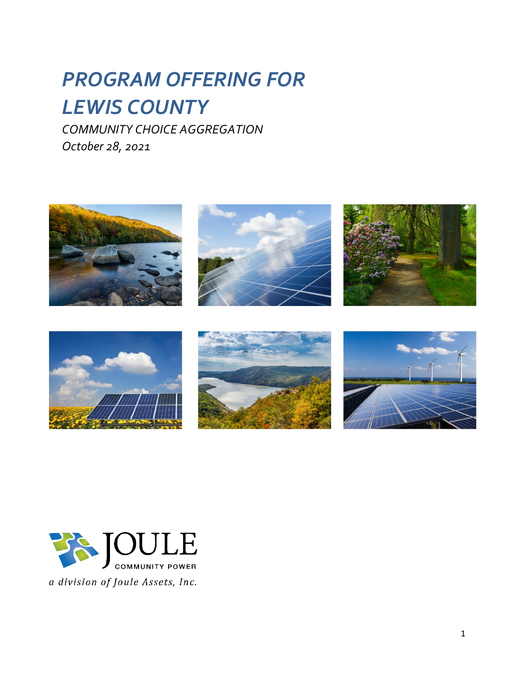# *PROGRAM OFFERING FOR LEWIS COUNTY*

*COMMUNITY CHOICE AGGREGATION October 28, 2021*









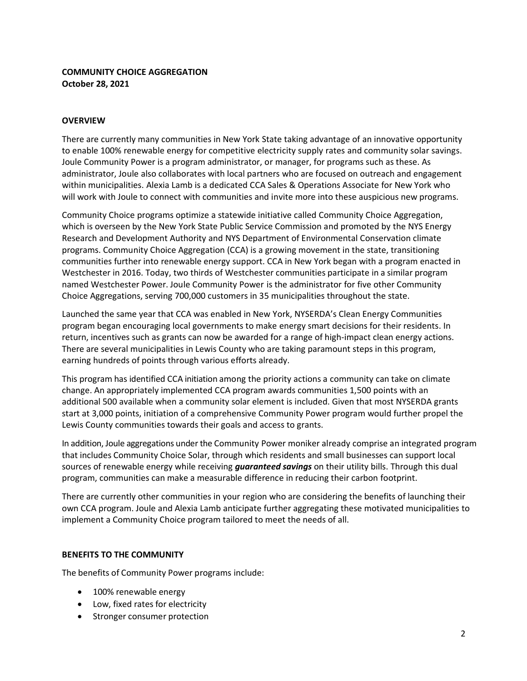# **COMMUNITY CHOICE AGGREGATION October 28, 2021**

## **OVERVIEW**

There are currently many communities in New York State taking advantage of an innovative opportunity to enable 100% renewable energy for competitive electricity supply rates and community solar savings. Joule Community Power is a program administrator, or manager, for programs such as these. As administrator, Joule also collaborates with local partners who are focused on outreach and engagement within municipalities. Alexia Lamb is a dedicated CCA Sales & Operations Associate for New York who will work with Joule to connect with communities and invite more into these auspicious new programs.

Community Choice programs optimize a statewide initiative called Community Choice Aggregation, which is overseen by the New York State Public Service Commission and promoted by the NYS Energy Research and Development Authority and NYS Department of Environmental Conservation climate programs. Community Choice Aggregation (CCA) is a growing movement in the state, transitioning communities further into renewable energy support. CCA in New York began with a program enacted in Westchester in 2016. Today, two thirds of Westchester communities participate in a similar program named Westchester Power. Joule Community Power is the administrator for five other Community Choice Aggregations, serving 700,000 customers in 35 municipalities throughout the state.

Launched the same year that CCA was enabled in New York, NYSERDA's Clean Energy Communities program began encouraging local governments to make energy smart decisions for their residents. In return, incentives such as grants can now be awarded for a range of high-impact clean energy actions. There are several municipalities in Lewis County who are taking paramount steps in this program, earning hundreds of points through various efforts already.

This program has identified CCA initiation among the priority actions a community can take on climate change. An appropriately implemented CCA program awards communities 1,500 points with an additional 500 available when a community solar element is included. Given that most NYSERDA grants start at 3,000 points, initiation of a comprehensive Community Power program would further propel the Lewis County communities towards their goals and access to grants.

In addition, Joule aggregations under the Community Power moniker already comprise an integrated program that includes Community Choice Solar, through which residents and small businesses can support local sources of renewable energy while receiving *guaranteed savings* on their utility bills. Through this dual program, communities can make a measurable difference in reducing their carbon footprint.

There are currently other communities in your region who are considering the benefits of launching their own CCA program. Joule and Alexia Lamb anticipate further aggregating these motivated municipalities to implement a Community Choice program tailored to meet the needs of all.

## **BENEFITS TO THE COMMUNITY**

The benefits of Community Power programs include:

- 100% renewable energy
- Low, fixed rates for electricity
- Stronger consumer protection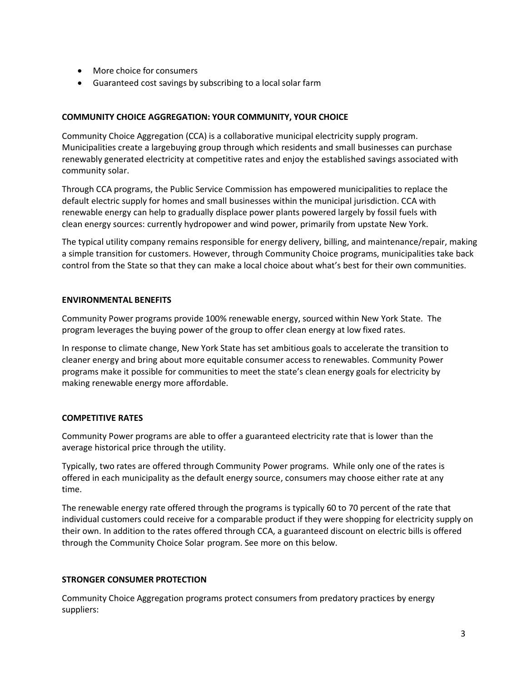- More choice for consumers
- Guaranteed cost savings by subscribing to a local solar farm

## **COMMUNITY CHOICE AGGREGATION: YOUR COMMUNITY, YOUR CHOICE**

Community Choice Aggregation (CCA) is a collaborative municipal electricity supply program. Municipalities create a largebuying group through which residents and small businesses can purchase renewably generated electricity at competitive rates and enjoy the established savings associated with community solar.

Through CCA programs, the Public Service Commission has empowered municipalities to replace the default electric supply for homes and small businesses within the municipal jurisdiction. CCA with renewable energy can help to gradually displace power plants powered largely by fossil fuels with clean energy sources: currently hydropower and wind power, primarily from upstate New York.

The typical utility company remains responsible for energy delivery, billing, and maintenance/repair, making a simple transition for customers. However, through Community Choice programs, municipalities take back control from the State so that they can make a local choice about what's best for their own communities.

## **ENVIRONMENTAL BENEFITS**

Community Power programs provide 100% renewable energy, sourced within New York State. The program leverages the buying power of the group to offer clean energy at low fixed rates.

In response to climate change, New York State has set ambitious goals to accelerate the transition to cleaner energy and bring about more equitable consumer access to renewables. Community Power programs make it possible for communities to meet the state's clean energy goals for electricity by making renewable energy more affordable.

## **COMPETITIVE RATES**

Community Power programs are able to offer a guaranteed electricity rate that is lower than the average historical price through the utility.

Typically, two rates are offered through Community Power programs. While only one of the rates is offered in each municipality as the default energy source, consumers may choose either rate at any time.

The renewable energy rate offered through the programs is typically 60 to 70 percent of the rate that individual customers could receive for a comparable product if they were shopping for electricity supply on their own. In addition to the rates offered through CCA, a guaranteed discount on electric bills is offered through the Community Choice Solar program. See more on this below.

#### **STRONGER CONSUMER PROTECTION**

Community Choice Aggregation programs protect consumers from predatory practices by energy suppliers: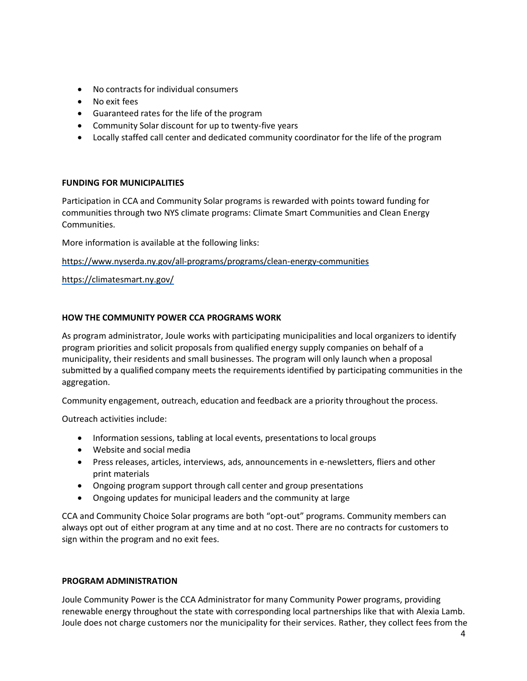- No contracts for individual consumers
- No exit fees
- Guaranteed rates for the life of the program
- Community Solar discount for up to twenty-five years
- Locally staffed call center and dedicated community coordinator for the life of the program

## **FUNDING FOR MUNICIPALITIES**

Participation in CCA and Community Solar programs is rewarded with points toward funding for communities through two NYS climate programs: Climate Smart Communities and Clean Energy Communities.

More information is available at the following links:

<https://www.nyserda.ny.gov/all-programs/programs/clean-energy-communities>

<https://climatesmart.ny.gov/>

## **HOW THE COMMUNITY POWER CCA PROGRAMS WORK**

As program administrator, Joule works with participating municipalities and local organizers to identify program priorities and solicit proposals from qualified energy supply companies on behalf of a municipality, their residents and small businesses. The program will only launch when a proposal submitted by a qualified company meets the requirements identified by participating communities in the aggregation.

Community engagement, outreach, education and feedback are a priority throughout the process.

Outreach activities include:

- Information sessions, tabling at local events, presentations to local groups
- Website and social media
- Press releases, articles, interviews, ads, announcements in e-newsletters, fliers and other print materials
- Ongoing program support through call center and group presentations
- Ongoing updates for municipal leaders and the community at large

CCA and Community Choice Solar programs are both "opt-out" programs. Community members can always opt out of either program at any time and at no cost. There are no contracts for customers to sign within the program and no exit fees.

## **PROGRAM ADMINISTRATION**

Joule Community Power is the CCA Administrator for many Community Power programs, providing renewable energy throughout the state with corresponding local partnerships like that with Alexia Lamb. Joule does not charge customers nor the municipality for their services. Rather, they collect fees from the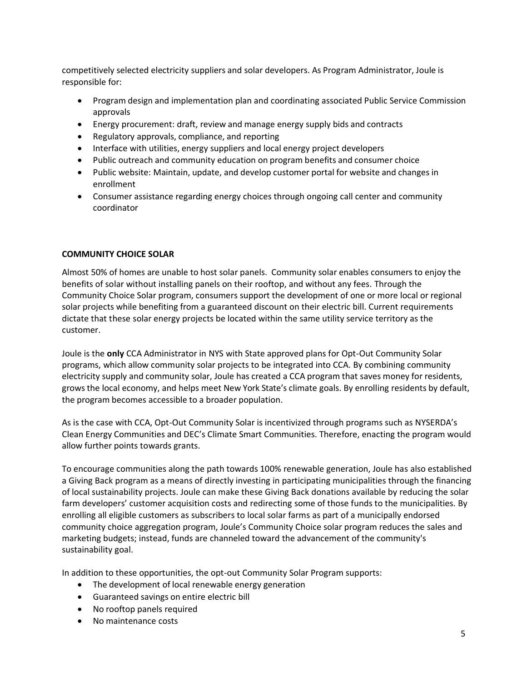competitively selected electricity suppliers and solar developers. As Program Administrator, Joule is responsible for:

- Program design and implementation plan and coordinating associated Public Service Commission approvals
- Energy procurement: draft, review and manage energy supply bids and contracts
- Regulatory approvals, compliance, and reporting
- Interface with utilities, energy suppliers and local energy project developers
- Public outreach and community education on program benefits and consumer choice
- Public website: Maintain, update, and develop customer portal for website and changes in enrollment
- Consumer assistance regarding energy choices through ongoing call center and community coordinator

## **COMMUNITY CHOICE SOLAR**

Almost 50% of homes are unable to host solar panels. Community solar enables consumers to enjoy the benefits of solar without installing panels on their rooftop, and without any fees. Through the Community Choice Solar program, consumers support the development of one or more local or regional solar projects while benefiting from a guaranteed discount on their electric bill. Current requirements dictate that these solar energy projects be located within the same utility service territory as the customer.

Joule is the **only** CCA Administrator in NYS with State approved plans for Opt-Out Community Solar programs, which allow community solar projects to be integrated into CCA. By combining community electricity supply and community solar, Joule has created a CCA program that saves money for residents, grows the local economy, and helps meet New York State's climate goals. By enrolling residents by default, the program becomes accessible to a broader population.

As is the case with CCA, Opt-Out Community Solar is incentivized through programs such as NYSERDA's Clean Energy Communities and DEC's Climate Smart Communities. Therefore, enacting the program would allow further points towards grants.

To encourage communities along the path towards 100% renewable generation, Joule has also established a Giving Back program as a means of directly investing in participating municipalities through the financing of local sustainability projects. Joule can make these Giving Back donations available by reducing the solar farm developers' customer acquisition costs and redirecting some of those funds to the municipalities. By enrolling all eligible customers as subscribers to local solar farms as part of a municipally endorsed community choice aggregation program, Joule's Community Choice solar program reduces the sales and marketing budgets; instead, funds are channeled toward the advancement of the community's sustainability goal.

In addition to these opportunities, the opt-out Community Solar Program supports:

- The development of local renewable energy generation
- Guaranteed savings on entire electric bill
- No rooftop panels required
- No maintenance costs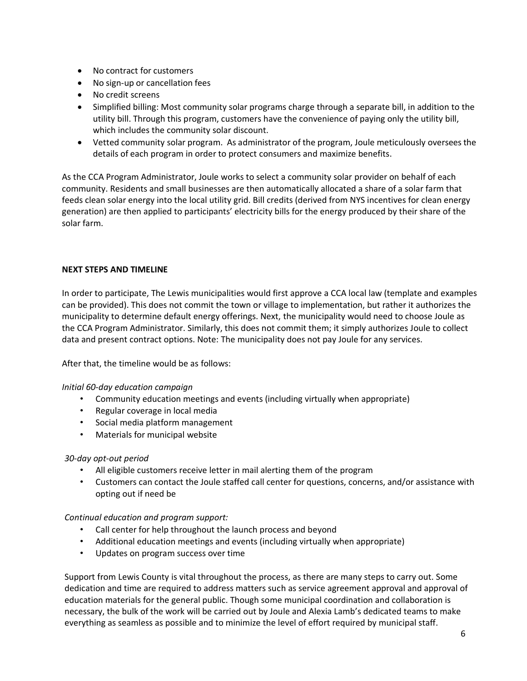- No contract for customers
- No sign-up or cancellation fees
- No credit screens
- Simplified billing: Most community solar programs charge through a separate bill, in addition to the utility bill. Through this program, customers have the convenience of paying only the utility bill, which includes the community solar discount.
- Vetted community solar program. As administrator of the program, Joule meticulously oversees the details of each program in order to protect consumers and maximize benefits.

As the CCA Program Administrator, Joule works to select a community solar provider on behalf of each community. Residents and small businesses are then automatically allocated a share of a solar farm that feeds clean solar energy into the local utility grid. Bill credits (derived from NYS incentives for clean energy generation) are then applied to participants' electricity bills for the energy produced by their share of the solar farm.

## **NEXT STEPS AND TIMELINE**

In order to participate, The Lewis municipalities would first approve a CCA local law (template and examples can be provided). This does not commit the town or village to implementation, but rather it authorizes the municipality to determine default energy offerings. Next, the municipality would need to choose Joule as the CCA Program Administrator. Similarly, this does not commit them; it simply authorizes Joule to collect data and present contract options. Note: The municipality does not pay Joule for any services.

After that, the timeline would be as follows:

## *Initial 60-day education campaign*

- Community education meetings and events (including virtually when appropriate)
- Regular coverage in local media
- Social media platform management
- Materials for municipal website

## *30-day opt-out period*

- All eligible customers receive letter in mail alerting them of the program
- Customers can contact the Joule staffed call center for questions, concerns, and/or assistance with opting out if need be

## *Continual education and program support:*

- Call center for help throughout the launch process and beyond
- Additional education meetings and events (including virtually when appropriate)
- Updates on program success over time

Support from Lewis County is vital throughout the process, as there are many steps to carry out. Some dedication and time are required to address matters such as service agreement approval and approval of education materials for the general public. Though some municipal coordination and collaboration is necessary, the bulk of the work will be carried out by Joule and Alexia Lamb's dedicated teams to make everything as seamless as possible and to minimize the level of effort required by municipal staff.